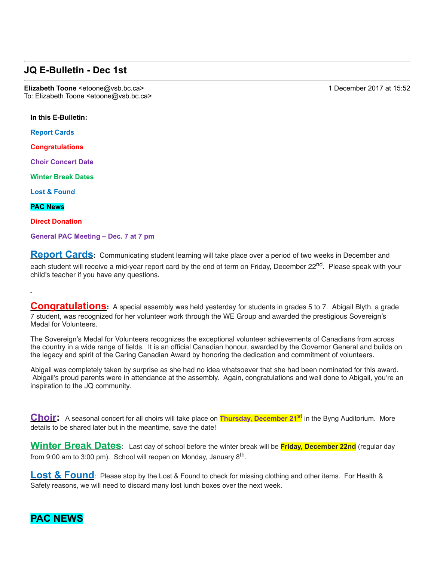## **JQ E-Bulletin - Dec 1st**

**Elizabeth Toone** <etoone@vsb.bc.ca> 1 December 2017 at 15:52 To: Elizabeth Toone <etoone@vsb.bc.ca>

**In this E-Bulletin:** 

**Report Cards**

**Congratulations**

**Choir Concert Date**

**Winter Break Dates**

**Lost & Found**

**PAC News**

**Direct Donation**

**General PAC Meeting – Dec. 7 at 7 pm**

**Report Cards:** Communicating student learning will take place over a period of two weeks in December and each student will receive a mid-year report card by the end of term on Friday, December 22<sup>nd</sup>. Please speak with your child's teacher if you have any questions.

**Congratulations:** A special assembly was held yesterday for students in grades 5 to 7. Abigail Blyth, a grade 7 student, was recognized for her volunteer work through the WE Group and awarded the prestigious Sovereign's Medal for Volunteers.

The Sovereign's Medal for Volunteers recognizes the exceptional volunteer achievements of Canadians from across the country in a wide range of fields. It is an official Canadian honour, awarded by the Governor General and builds on the legacy and spirit of the Caring Canadian Award by honoring the dedication and commitment of volunteers.

Abigail was completely taken by surprise as she had no idea whatsoever that she had been nominated for this award. Abigail's proud parents were in attendance at the assembly. Again, congratulations and well done to Abigail, you're an inspiration to the JQ community.

**Choir:** A seasonal concert for all choirs will take place on **Thursday, December 21st** in the Byng Auditorium. More details to be shared later but in the meantime, save the date!

**Winter Break Dates**: Last day of school before the winter break will be **Friday, December 22nd** (regular day from 9:00 am to 3:00 pm). School will reopen on Monday, January 8<sup>th</sup>.

**Lost & Found**: Please stop by the Lost & Found to check for missing clothing and other items. For Health & Safety reasons, we will need to discard many lost lunch boxes over the next week.

# **PAC NEWS**